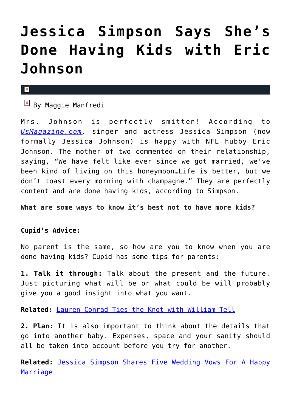## **[Jessica Simpson Says She's](https://cupidspulse.com/80928/jessica-simpson-happy-done-having-kids-eric-johnson/) [Done Having Kids with Eric](https://cupidspulse.com/80928/jessica-simpson-happy-done-having-kids-eric-johnson/) [Johnson](https://cupidspulse.com/80928/jessica-simpson-happy-done-having-kids-eric-johnson/)**

 $\mathbf{x}$ 

 $\overline{\mathbf{B}}$  By Maggie Manfredi

Mrs. Johnson is perfectly smitten! According to *[UsMagazine.com](http://www.usmagazine.com/celebrity-news/news/jessica-simpson-life-is-better-being-married-to-eric-johnson-2014189),* singer and actress Jessica Simpson (now formally Jessica Johnson) is happy with NFL hubby Eric Johnson. The mother of two commented on their relationship, saying, "We have felt like ever since we got married, we've been kind of living on this honeymoon…Life is better, but we don't toast every morning with champagne." They are perfectly content and are done having kids, according to Simpson.

**What are some ways to know it's best not to have more kids?**

## **Cupid's Advice:**

No parent is the same, so how are you to know when you are done having kids? Cupid has some tips for parents:

**1. Talk it through:** Talk about the present and the future. Just picturing what will be or what could be will probably give you a good insight into what you want.

**Related:** [Lauren Conrad Ties the Knot with William Tell](http://cupidspulse.com/80870/lauren-conrad-marries-william-tell-wedding/)

**2. Plan:** It is also important to think about the details that go into another baby. Expenses, space and your sanity should all be taken into account before you try for another.

**Related:** [Jessica Simpson Shares Five Wedding Vows For A Happy](http://cupidspulse.com/80109/jessica-simpson-vows-marriage/) [Marriage](http://cupidspulse.com/80109/jessica-simpson-vows-marriage/)